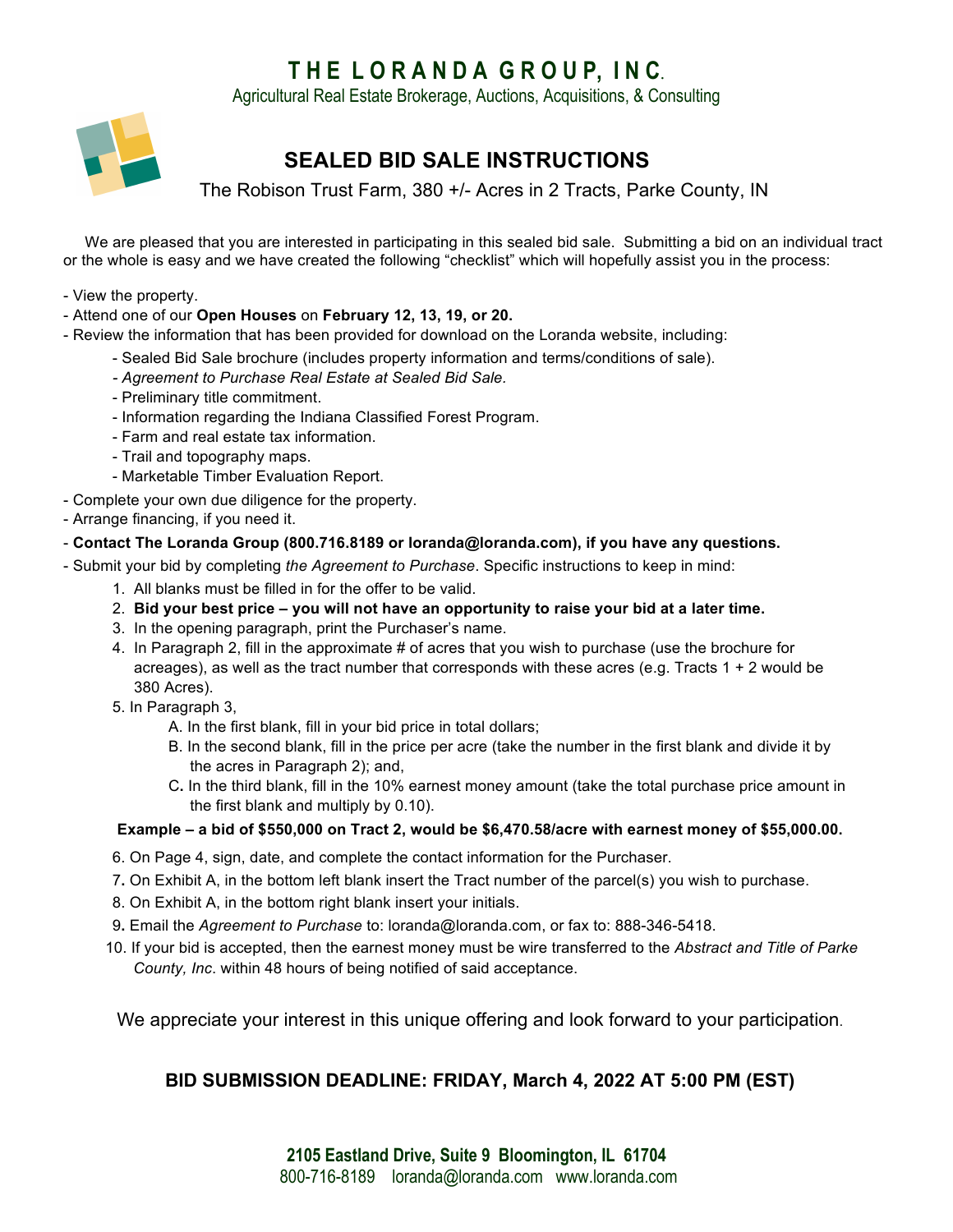# **T H E L O R A N D A G R O U P, I N C**.

Agricultural Real Estate Brokerage, Auctions, Acquisitions, & Consulting



# **SEALED BID SALE INSTRUCTIONS**

The Robison Trust Farm, 380 +/- Acres in 2 Tracts, Parke County, IN

 We are pleased that you are interested in participating in this sealed bid sale. Submitting a bid on an individual tract or the whole is easy and we have created the following "checklist" which will hopefully assist you in the process:

- View the property.
- Attend one of our **Open Houses** on **February 12, 13, 19, or 20.**
- Review the information that has been provided for download on the Loranda website, including:
	- Sealed Bid Sale brochure (includes property information and terms/conditions of sale).
	- *- Agreement to Purchase Real Estate at Sealed Bid Sale.*
	- Preliminary title commitment.
	- Information regarding the Indiana Classified Forest Program.
	- Farm and real estate tax information.
	- Trail and topography maps.
	- Marketable Timber Evaluation Report.
- Complete your own due diligence for the property.
- Arrange financing, if you need it.

#### - **Contact The Loranda Group (800.716.8189 or loranda@loranda.com), if you have any questions.**

- Submit your bid by completing *the Agreement to Purchase*. Specific instructions to keep in mind:

- 1. All blanks must be filled in for the offer to be valid.
- 2. **Bid your best price – you will not have an opportunity to raise your bid at a later time.**
- 3. In the opening paragraph, print the Purchaser's name.
- 4. In Paragraph 2, fill in the approximate # of acres that you wish to purchase (use the brochure for acreages), as well as the tract number that corresponds with these acres (e.g. Tracts 1 + 2 would be 380 Acres).
- 5. In Paragraph 3,
	- A. In the first blank, fill in your bid price in total dollars;
	- B. In the second blank, fill in the price per acre (take the number in the first blank and divide it by the acres in Paragraph 2); and,
	- C**.** In the third blank, fill in the 10% earnest money amount (take the total purchase price amount in the first blank and multiply by 0.10).

### **Example – a bid of \$550,000 on Tract 2, would be \$6,470.58/acre with earnest money of \$55,000.00.**

- 6. On Page 4, sign, date, and complete the contact information for the Purchaser.
- 7**.** On Exhibit A, in the bottom left blank insert the Tract number of the parcel(s) you wish to purchase.
- 8. On Exhibit A, in the bottom right blank insert your initials.
- 9**.** Email the *Agreement to Purchase* to: loranda@loranda.com, or fax to: 888-346-5418.
- 10. If your bid is accepted, then the earnest money must be wire transferred to the *Abstract and Title of Parke County, Inc*. within 48 hours of being notified of said acceptance.

We appreciate your interest in this unique offering and look forward to your participation.

## **BID SUBMISSION DEADLINE: FRIDAY, March 4, 2022 AT 5:00 PM (EST)**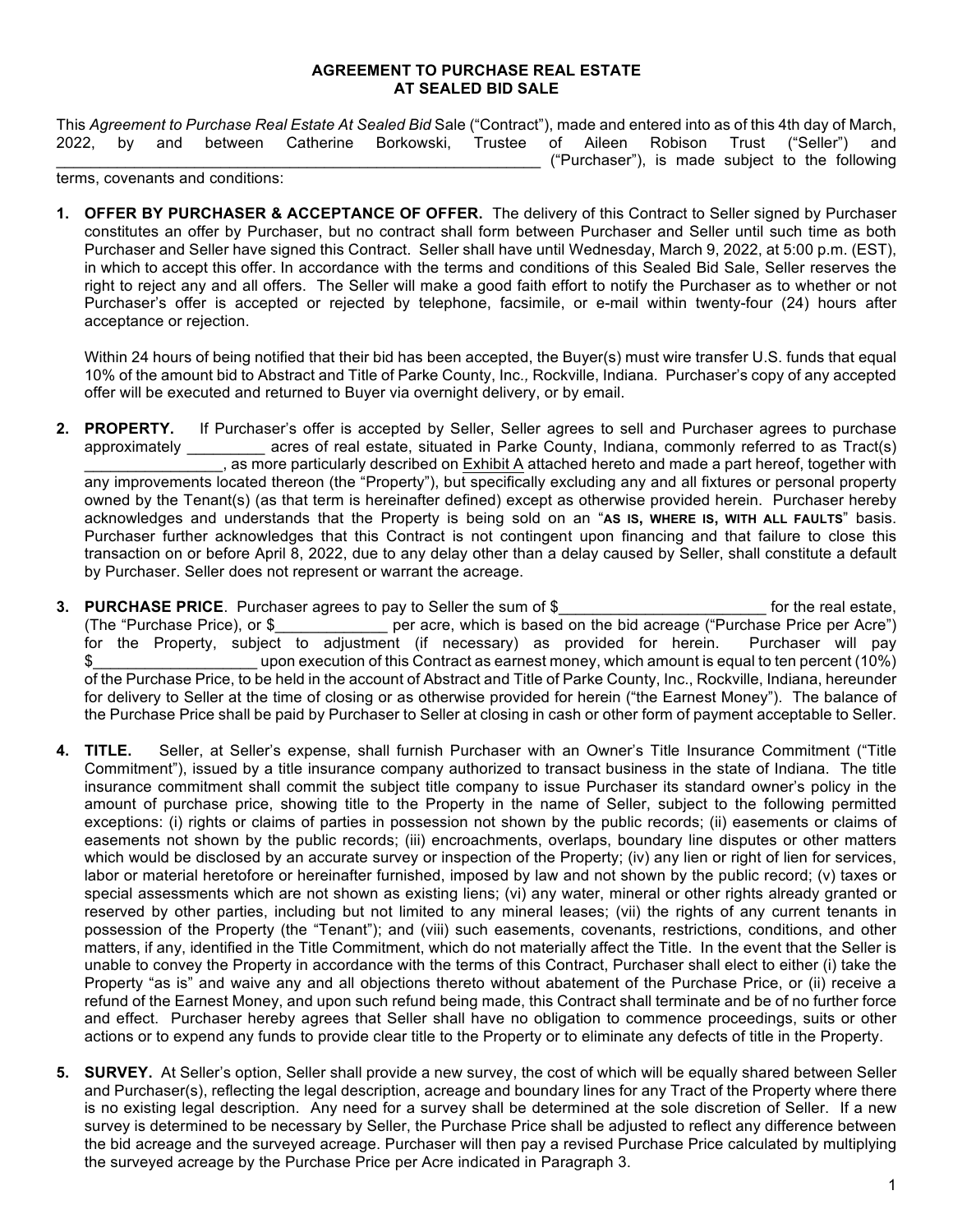#### **AGREEMENT TO PURCHASE REAL ESTATE AT SEALED BID SALE**

This *Agreement to Purchase Real Estate At Sealed Bid* Sale ("Contract"), made and entered into as of this 4th day of March, 2022, by and between Catherine Borkowski, Trustee of Aileen Robison Trust ("Seller") and \_\_\_\_\_\_\_\_\_\_\_\_\_\_\_\_\_\_\_\_\_\_\_\_\_\_\_\_\_\_\_\_\_\_\_\_\_\_\_\_\_\_\_\_\_\_\_\_\_\_\_\_\_\_\_\_ ("Purchaser"), is made subject to the following

terms, covenants and conditions:

**1. OFFER BY PURCHASER & ACCEPTANCE OF OFFER.** The delivery of this Contract to Seller signed by Purchaser constitutes an offer by Purchaser, but no contract shall form between Purchaser and Seller until such time as both Purchaser and Seller have signed this Contract. Seller shall have until Wednesday, March 9, 2022, at 5:00 p.m. (EST), in which to accept this offer. In accordance with the terms and conditions of this Sealed Bid Sale, Seller reserves the right to reject any and all offers. The Seller will make a good faith effort to notify the Purchaser as to whether or not Purchaser's offer is accepted or rejected by telephone, facsimile, or e-mail within twenty-four (24) hours after acceptance or rejection.

Within 24 hours of being notified that their bid has been accepted, the Buyer(s) must wire transfer U.S. funds that equal 10% of the amount bid to Abstract and Title of Parke County, Inc*.,* Rockville, Indiana*.* Purchaser's copy of any accepted offer will be executed and returned to Buyer via overnight delivery, or by email.

- **2. PROPERTY.** If Purchaser's offer is accepted by Seller, Seller agrees to sell and Purchaser agrees to purchase acres of real estate, situated in Parke County, Indiana, commonly referred to as Tract(s) \_\_\_\_\_\_\_\_\_\_\_\_\_\_\_\_, as more particularly described on Exhibit A attached hereto and made a part hereof, together with any improvements located thereon (the "Property"), but specifically excluding any and all fixtures or personal property owned by the Tenant(s) (as that term is hereinafter defined) except as otherwise provided herein. Purchaser hereby acknowledges and understands that the Property is being sold on an "**AS IS, WHERE IS, WITH ALL FAULTS**" basis. Purchaser further acknowledges that this Contract is not contingent upon financing and that failure to close this transaction on or before April 8, 2022, due to any delay other than a delay caused by Seller, shall constitute a default by Purchaser. Seller does not represent or warrant the acreage.
- **3. PURCHASE PRICE**. Purchaser agrees to pay to Seller the sum of \$ \_\_\_\_\_\_\_\_\_\_\_\_\_\_\_\_\_\_\_\_\_\_\_\_ for the real estate, (The "Purchase Price), or \$\_\_\_\_\_\_\_\_\_\_\_\_\_ per acre, which is based on the bid acreage ("Purchase Price per Acre") for the Property, subject to adjustment (if necessary) as provided for herein. Purchaser will pay \$\_\_\_\_\_\_\_\_\_\_\_\_\_\_\_\_\_\_\_ upon execution of this Contract as earnest money, which amount is equal to ten percent (10%) of the Purchase Price, to be held in the account of Abstract and Title of Parke County, Inc., Rockville, Indiana, hereunder for delivery to Seller at the time of closing or as otherwise provided for herein ("the Earnest Money"). The balance of the Purchase Price shall be paid by Purchaser to Seller at closing in cash or other form of payment acceptable to Seller.
- **4. TITLE.** Seller, at Seller's expense, shall furnish Purchaser with an Owner's Title Insurance Commitment ("Title Commitment"), issued by a title insurance company authorized to transact business in the state of Indiana. The title insurance commitment shall commit the subject title company to issue Purchaser its standard owner's policy in the amount of purchase price, showing title to the Property in the name of Seller, subject to the following permitted exceptions: (i) rights or claims of parties in possession not shown by the public records; (ii) easements or claims of easements not shown by the public records; (iii) encroachments, overlaps, boundary line disputes or other matters which would be disclosed by an accurate survey or inspection of the Property; (iv) any lien or right of lien for services, labor or material heretofore or hereinafter furnished, imposed by law and not shown by the public record; (v) taxes or special assessments which are not shown as existing liens; (vi) any water, mineral or other rights already granted or reserved by other parties, including but not limited to any mineral leases; (vii) the rights of any current tenants in possession of the Property (the "Tenant"); and (viii) such easements, covenants, restrictions, conditions, and other matters, if any, identified in the Title Commitment, which do not materially affect the Title. In the event that the Seller is unable to convey the Property in accordance with the terms of this Contract, Purchaser shall elect to either (i) take the Property "as is" and waive any and all objections thereto without abatement of the Purchase Price, or (ii) receive a refund of the Earnest Money, and upon such refund being made, this Contract shall terminate and be of no further force and effect. Purchaser hereby agrees that Seller shall have no obligation to commence proceedings, suits or other actions or to expend any funds to provide clear title to the Property or to eliminate any defects of title in the Property.
- **5. SURVEY.** At Seller's option, Seller shall provide a new survey, the cost of which will be equally shared between Seller and Purchaser(s), reflecting the legal description, acreage and boundary lines for any Tract of the Property where there is no existing legal description. Any need for a survey shall be determined at the sole discretion of Seller. If a new survey is determined to be necessary by Seller, the Purchase Price shall be adjusted to reflect any difference between the bid acreage and the surveyed acreage. Purchaser will then pay a revised Purchase Price calculated by multiplying the surveyed acreage by the Purchase Price per Acre indicated in Paragraph 3.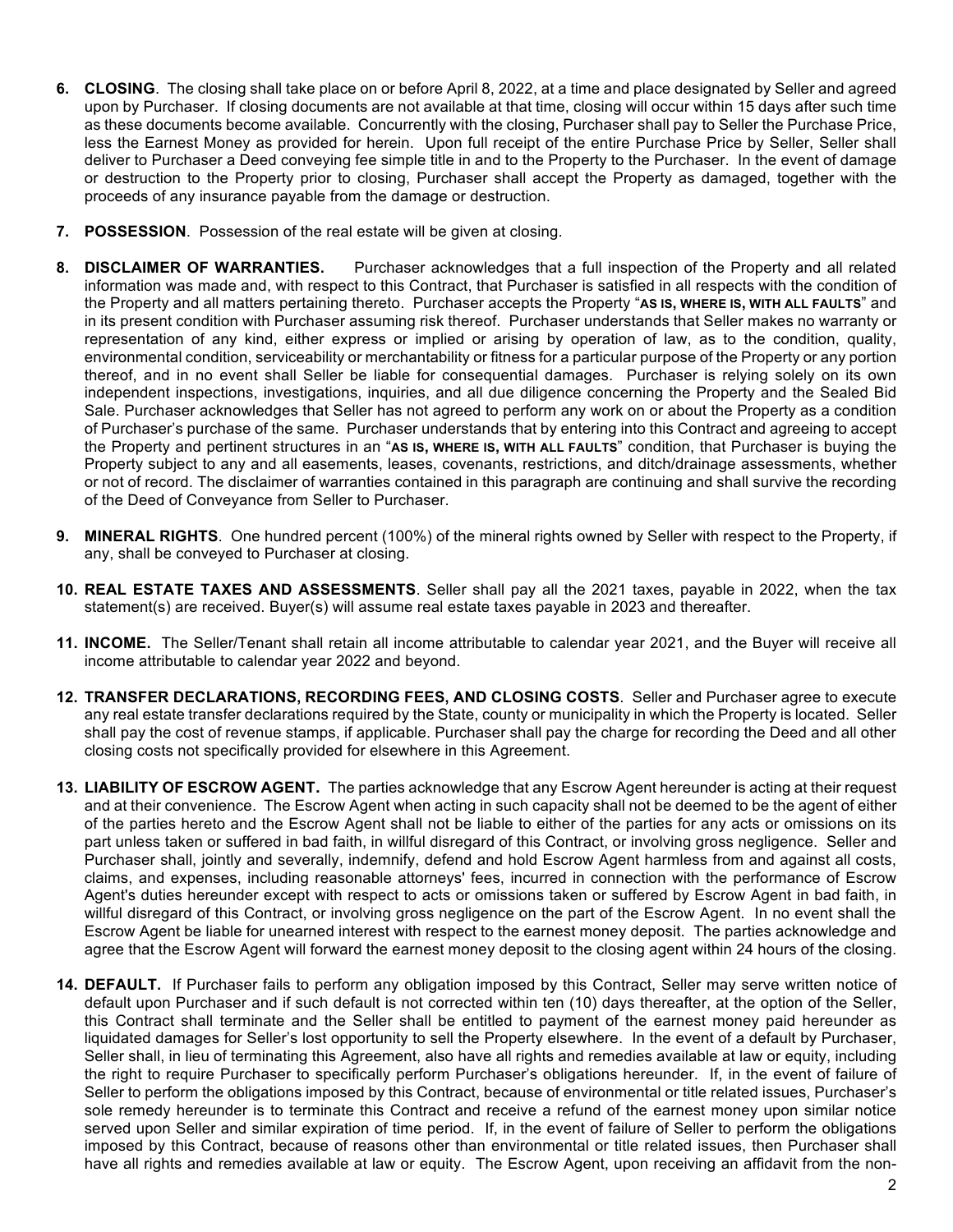- **6. CLOSING**. The closing shall take place on or before April 8, 2022, at a time and place designated by Seller and agreed upon by Purchaser. If closing documents are not available at that time, closing will occur within 15 days after such time as these documents become available. Concurrently with the closing, Purchaser shall pay to Seller the Purchase Price, less the Earnest Money as provided for herein. Upon full receipt of the entire Purchase Price by Seller, Seller shall deliver to Purchaser a Deed conveying fee simple title in and to the Property to the Purchaser. In the event of damage or destruction to the Property prior to closing, Purchaser shall accept the Property as damaged, together with the proceeds of any insurance payable from the damage or destruction.
- **7. POSSESSION**. Possession of the real estate will be given at closing.
- **8. DISCLAIMER OF WARRANTIES.** Purchaser acknowledges that a full inspection of the Property and all related information was made and, with respect to this Contract, that Purchaser is satisfied in all respects with the condition of the Property and all matters pertaining thereto. Purchaser accepts the Property "**AS IS, WHERE IS, WITH ALL FAULTS**" and in its present condition with Purchaser assuming risk thereof. Purchaser understands that Seller makes no warranty or representation of any kind, either express or implied or arising by operation of law, as to the condition, quality, environmental condition, serviceability or merchantability or fitness for a particular purpose of the Property or any portion thereof, and in no event shall Seller be liable for consequential damages. Purchaser is relying solely on its own independent inspections, investigations, inquiries, and all due diligence concerning the Property and the Sealed Bid Sale. Purchaser acknowledges that Seller has not agreed to perform any work on or about the Property as a condition of Purchaser's purchase of the same. Purchaser understands that by entering into this Contract and agreeing to accept the Property and pertinent structures in an "**AS IS, WHERE IS, WITH ALL FAULTS**" condition, that Purchaser is buying the Property subject to any and all easements, leases, covenants, restrictions, and ditch/drainage assessments, whether or not of record. The disclaimer of warranties contained in this paragraph are continuing and shall survive the recording of the Deed of Conveyance from Seller to Purchaser.
- **9. MINERAL RIGHTS**. One hundred percent (100%) of the mineral rights owned by Seller with respect to the Property, if any, shall be conveyed to Purchaser at closing.
- **10. REAL ESTATE TAXES AND ASSESSMENTS**. Seller shall pay all the 2021 taxes, payable in 2022, when the tax statement(s) are received. Buyer(s) will assume real estate taxes payable in 2023 and thereafter.
- **11. INCOME.** The Seller/Tenant shall retain all income attributable to calendar year 2021, and the Buyer will receive all income attributable to calendar year 2022 and beyond.
- **12. TRANSFER DECLARATIONS, RECORDING FEES, AND CLOSING COSTS**. Seller and Purchaser agree to execute any real estate transfer declarations required by the State, county or municipality in which the Property is located. Seller shall pay the cost of revenue stamps, if applicable. Purchaser shall pay the charge for recording the Deed and all other closing costs not specifically provided for elsewhere in this Agreement.
- **13. LIABILITY OF ESCROW AGENT.** The parties acknowledge that any Escrow Agent hereunder is acting at their request and at their convenience. The Escrow Agent when acting in such capacity shall not be deemed to be the agent of either of the parties hereto and the Escrow Agent shall not be liable to either of the parties for any acts or omissions on its part unless taken or suffered in bad faith, in willful disregard of this Contract, or involving gross negligence. Seller and Purchaser shall, jointly and severally, indemnify, defend and hold Escrow Agent harmless from and against all costs, claims, and expenses, including reasonable attorneys' fees, incurred in connection with the performance of Escrow Agent's duties hereunder except with respect to acts or omissions taken or suffered by Escrow Agent in bad faith, in willful disregard of this Contract, or involving gross negligence on the part of the Escrow Agent. In no event shall the Escrow Agent be liable for unearned interest with respect to the earnest money deposit. The parties acknowledge and agree that the Escrow Agent will forward the earnest money deposit to the closing agent within 24 hours of the closing.
- **14. DEFAULT.** If Purchaser fails to perform any obligation imposed by this Contract, Seller may serve written notice of default upon Purchaser and if such default is not corrected within ten (10) days thereafter, at the option of the Seller, this Contract shall terminate and the Seller shall be entitled to payment of the earnest money paid hereunder as liquidated damages for Seller's lost opportunity to sell the Property elsewhere. In the event of a default by Purchaser, Seller shall, in lieu of terminating this Agreement, also have all rights and remedies available at law or equity, including the right to require Purchaser to specifically perform Purchaser's obligations hereunder. If, in the event of failure of Seller to perform the obligations imposed by this Contract, because of environmental or title related issues, Purchaser's sole remedy hereunder is to terminate this Contract and receive a refund of the earnest money upon similar notice served upon Seller and similar expiration of time period. If, in the event of failure of Seller to perform the obligations imposed by this Contract, because of reasons other than environmental or title related issues, then Purchaser shall have all rights and remedies available at law or equity. The Escrow Agent, upon receiving an affidavit from the non-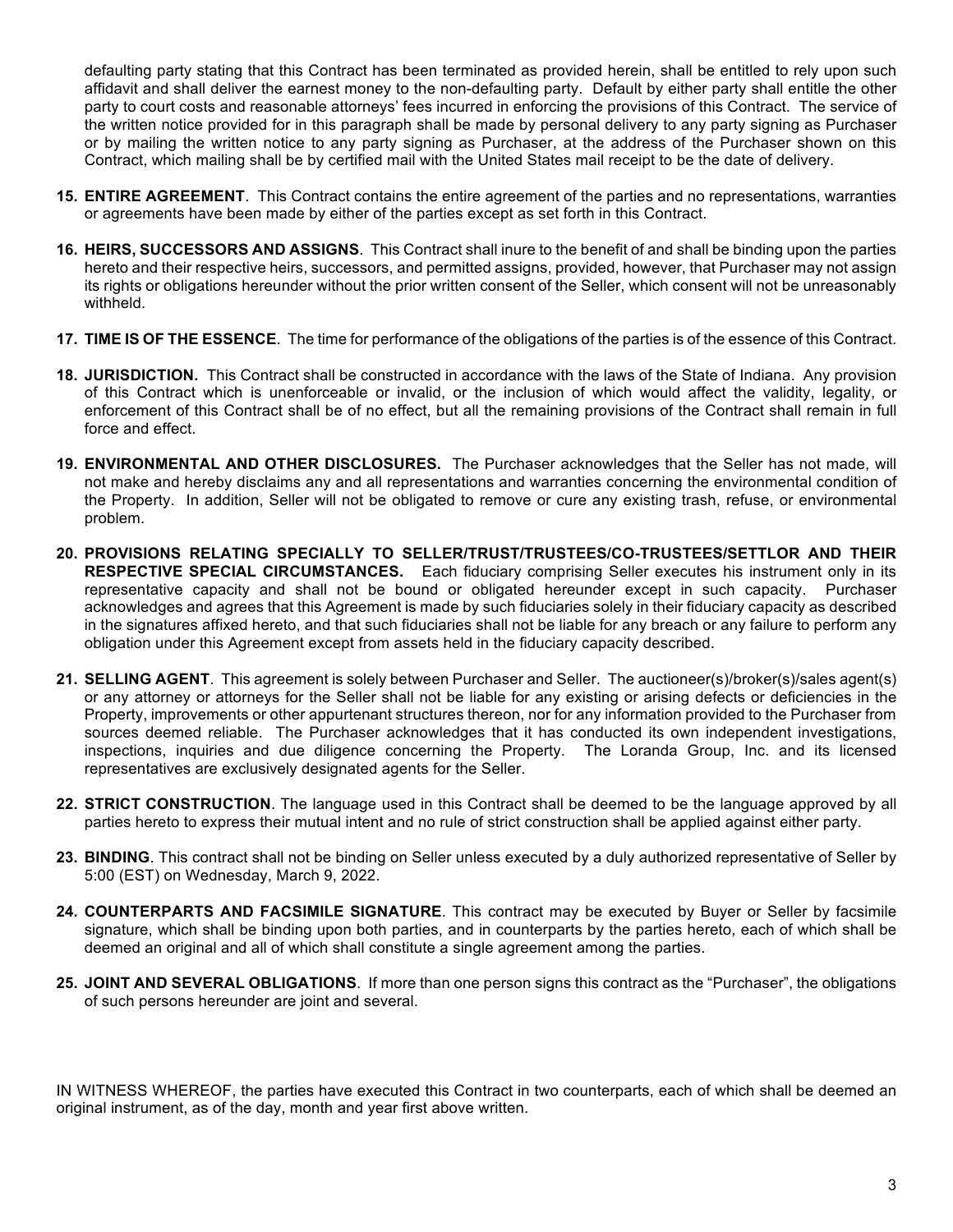defaulting party stating that this Contract has been terminated as provided herein, shall be entitled to rely upon such affidavit and shall deliver the earnest money to the non-defaulting party. Default by either party shall entitle the other party to court costs and reasonable attorneys' fees incurred in enforcing the provisions of this Contract. The service of the written notice provided for in this paragraph shall be made by personal delivery to any party signing as Purchaser or by mailing the written notice to any party signing as Purchaser, at the address of the Purchaser shown on this Contract, which mailing shall be by certified mail with the United States mail receipt to be the date of delivery.

- **15. ENTIRE AGREEMENT**. This Contract contains the entire agreement of the parties and no representations, warranties or agreements have been made by either of the parties except as set forth in this Contract.
- **16. HEIRS, SUCCESSORS AND ASSIGNS**. This Contract shall inure to the benefit of and shall be binding upon the parties hereto and their respective heirs, successors, and permitted assigns, provided, however, that Purchaser may not assign its rights or obligations hereunder without the prior written consent of the Seller, which consent will not be unreasonably withheld.
- **17. TIME IS OF THE ESSENCE**. The time for performance of the obligations of the parties is of the essence of this Contract.
- **18. JURISDICTION.** This Contract shall be constructed in accordance with the laws of the State of Indiana. Any provision of this Contract which is unenforceable or invalid, or the inclusion of which would affect the validity, legality, or enforcement of this Contract shall be of no effect, but all the remaining provisions of the Contract shall remain in full force and effect.
- **19. ENVIRONMENTAL AND OTHER DISCLOSURES.** The Purchaser acknowledges that the Seller has not made, will not make and hereby disclaims any and all representations and warranties concerning the environmental condition of the Property. In addition, Seller will not be obligated to remove or cure any existing trash, refuse, or environmental problem.
- **20. PROVISIONS RELATING SPECIALLY TO SELLER/TRUST/TRUSTEES/CO-TRUSTEES/SETTLOR AND THEIR RESPECTIVE SPECIAL CIRCUMSTANCES.** Each fiduciary comprising Seller executes his instrument only in its representative capacity and shall not be bound or obligated hereunder except in such capacity. Purchaser acknowledges and agrees that this Agreement is made by such fiduciaries solely in their fiduciary capacity as described in the signatures affixed hereto, and that such fiduciaries shall not be liable for any breach or any failure to perform any obligation under this Agreement except from assets held in the fiduciary capacity described.
- **21. SELLING AGENT**. This agreement is solely between Purchaser and Seller. The auctioneer(s)/broker(s)/sales agent(s) or any attorney or attorneys for the Seller shall not be liable for any existing or arising defects or deficiencies in the Property, improvements or other appurtenant structures thereon, nor for any information provided to the Purchaser from sources deemed reliable. The Purchaser acknowledges that it has conducted its own independent investigations, inspections, inquiries and due diligence concerning the Property. The Loranda Group, Inc. and its licensed representatives are exclusively designated agents for the Seller.
- **22. STRICT CONSTRUCTION**. The language used in this Contract shall be deemed to be the language approved by all parties hereto to express their mutual intent and no rule of strict construction shall be applied against either party.
- **23. BINDING**. This contract shall not be binding on Seller unless executed by a duly authorized representative of Seller by 5:00 (EST) on Wednesday, March 9, 2022.
- **24. COUNTERPARTS AND FACSIMILE SIGNATURE**. This contract may be executed by Buyer or Seller by facsimile signature, which shall be binding upon both parties, and in counterparts by the parties hereto, each of which shall be deemed an original and all of which shall constitute a single agreement among the parties.
- **25. JOINT AND SEVERAL OBLIGATIONS**. If more than one person signs this contract as the "Purchaser", the obligations of such persons hereunder are joint and several.

IN WITNESS WHEREOF, the parties have executed this Contract in two counterparts, each of which shall be deemed an original instrument, as of the day, month and year first above written.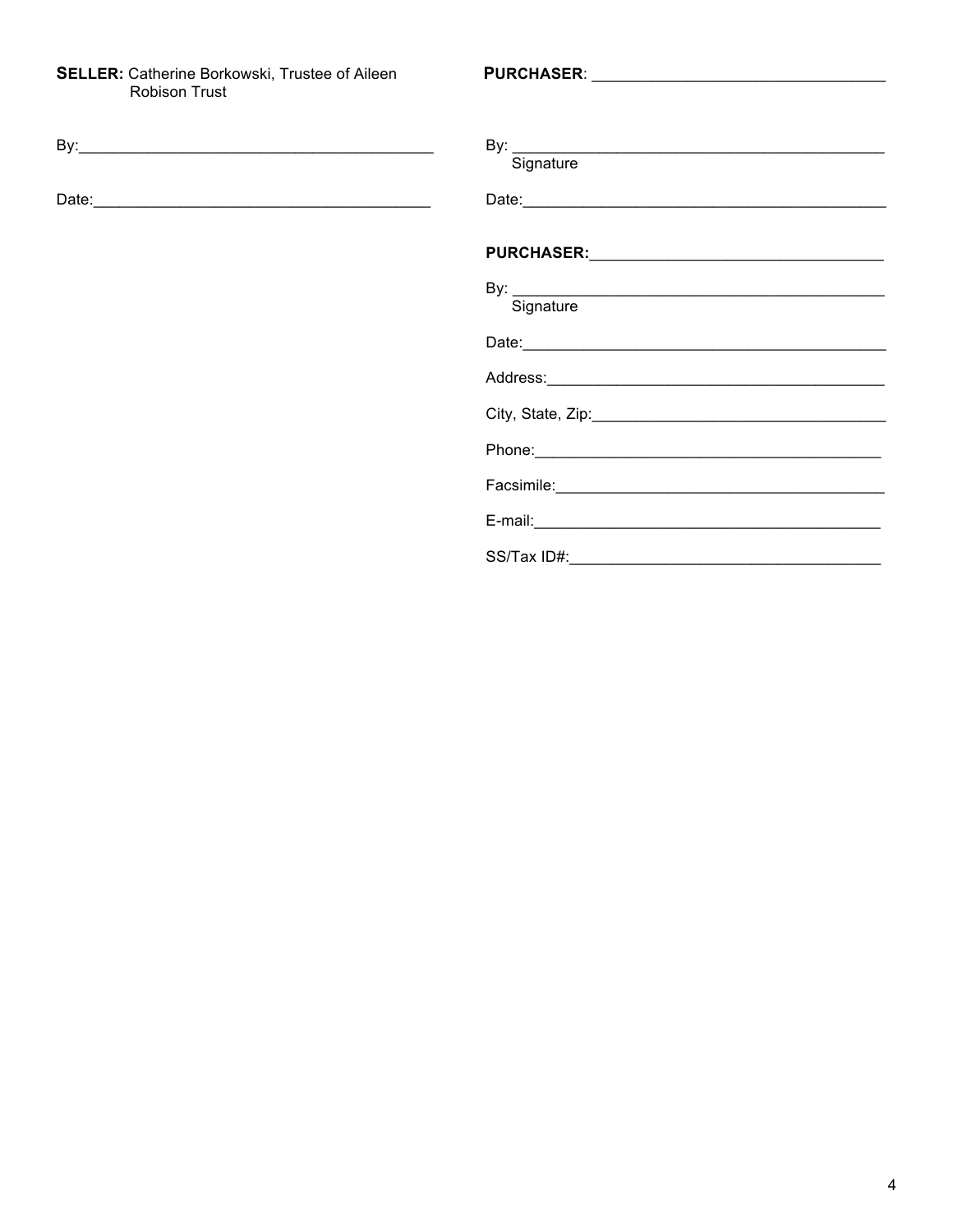# **SELLER:** Catherine Borkowski, Trustee of Aileen<br>Robison Trust

| By: the contract of the contract of the contract of the contract of the contract of the contract of the contract of the contract of the contract of the contract of the contract of the contract of the contract of the contra | Signature                                                                                                                                                                                                                      |
|--------------------------------------------------------------------------------------------------------------------------------------------------------------------------------------------------------------------------------|--------------------------------------------------------------------------------------------------------------------------------------------------------------------------------------------------------------------------------|
|                                                                                                                                                                                                                                |                                                                                                                                                                                                                                |
|                                                                                                                                                                                                                                |                                                                                                                                                                                                                                |
|                                                                                                                                                                                                                                | By: Signature Signature                                                                                                                                                                                                        |
|                                                                                                                                                                                                                                |                                                                                                                                                                                                                                |
|                                                                                                                                                                                                                                |                                                                                                                                                                                                                                |
|                                                                                                                                                                                                                                |                                                                                                                                                                                                                                |
|                                                                                                                                                                                                                                | Phone: Note: The Commission of the Commission of the Commission of the Commission of the Commission of the Commission of the Commission of the Commission of the Commission of the Commission of the Commission of the Commiss |
|                                                                                                                                                                                                                                |                                                                                                                                                                                                                                |
|                                                                                                                                                                                                                                | $E$ -mail:                                                                                                                                                                                                                     |